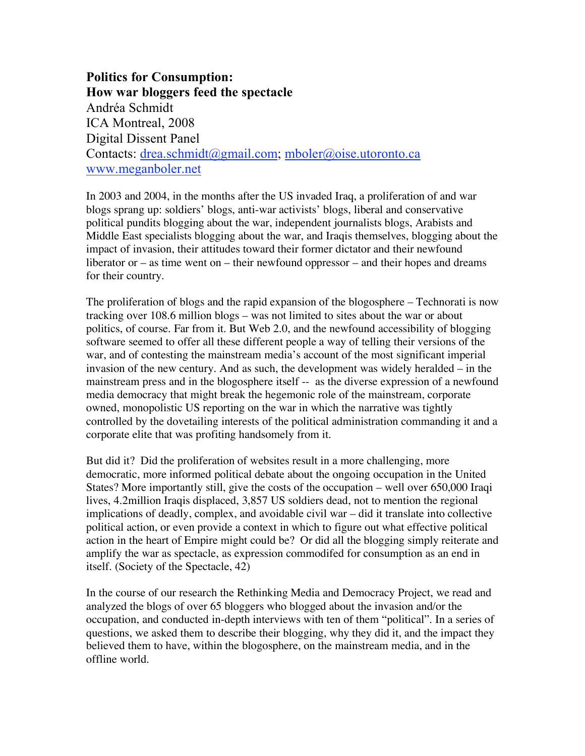**Politics for Consumption: How war bloggers feed the spectacle** Andréa Schmidt ICA Montreal, 2008 Digital Dissent Panel Contacts: drea.schmidt@gmail.com; mboler@oise.utoronto.ca www.meganboler.net

In 2003 and 2004, in the months after the US invaded Iraq, a proliferation of and war blogs sprang up: soldiers' blogs, anti-war activists' blogs, liberal and conservative political pundits blogging about the war, independent journalists blogs, Arabists and Middle East specialists blogging about the war, and Iraqis themselves, blogging about the impact of invasion, their attitudes toward their former dictator and their newfound liberator or – as time went on – their newfound oppressor – and their hopes and dreams for their country.

The proliferation of blogs and the rapid expansion of the blogosphere – Technorati is now tracking over 108.6 million blogs – was not limited to sites about the war or about politics, of course. Far from it. But Web 2.0, and the newfound accessibility of blogging software seemed to offer all these different people a way of telling their versions of the war, and of contesting the mainstream media's account of the most significant imperial invasion of the new century. And as such, the development was widely heralded – in the mainstream press and in the blogosphere itself -- as the diverse expression of a newfound media democracy that might break the hegemonic role of the mainstream, corporate owned, monopolistic US reporting on the war in which the narrative was tightly controlled by the dovetailing interests of the political administration commanding it and a corporate elite that was profiting handsomely from it.

But did it? Did the proliferation of websites result in a more challenging, more democratic, more informed political debate about the ongoing occupation in the United States? More importantly still, give the costs of the occupation – well over 650,000 Iraqi lives, 4.2million Iraqis displaced, 3,857 US soldiers dead, not to mention the regional implications of deadly, complex, and avoidable civil war – did it translate into collective political action, or even provide a context in which to figure out what effective political action in the heart of Empire might could be? Or did all the blogging simply reiterate and amplify the war as spectacle, as expression commodifed for consumption as an end in itself. (Society of the Spectacle, 42)

In the course of our research the Rethinking Media and Democracy Project, we read and analyzed the blogs of over 65 bloggers who blogged about the invasion and/or the occupation, and conducted in-depth interviews with ten of them "political". In a series of questions, we asked them to describe their blogging, why they did it, and the impact they believed them to have, within the blogosphere, on the mainstream media, and in the offline world.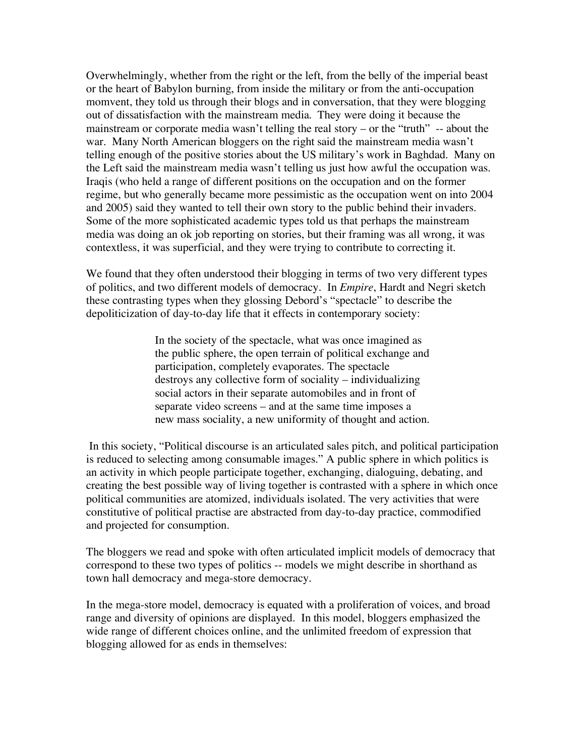Overwhelmingly, whether from the right or the left, from the belly of the imperial beast or the heart of Babylon burning, from inside the military or from the anti-occupation momvent, they told us through their blogs and in conversation, that they were blogging out of dissatisfaction with the mainstream media. They were doing it because the mainstream or corporate media wasn't telling the real story – or the "truth" -- about the war. Many North American bloggers on the right said the mainstream media wasn't telling enough of the positive stories about the US military's work in Baghdad. Many on the Left said the mainstream media wasn't telling us just how awful the occupation was. Iraqis (who held a range of different positions on the occupation and on the former regime, but who generally became more pessimistic as the occupation went on into 2004 and 2005) said they wanted to tell their own story to the public behind their invaders. Some of the more sophisticated academic types told us that perhaps the mainstream media was doing an ok job reporting on stories, but their framing was all wrong, it was contextless, it was superficial, and they were trying to contribute to correcting it.

We found that they often understood their blogging in terms of two very different types of politics, and two different models of democracy. In *Empire*, Hardt and Negri sketch these contrasting types when they glossing Debord's "spectacle" to describe the depoliticization of day-to-day life that it effects in contemporary society:

> In the society of the spectacle, what was once imagined as the public sphere, the open terrain of political exchange and participation, completely evaporates. The spectacle destroys any collective form of sociality – individualizing social actors in their separate automobiles and in front of separate video screens – and at the same time imposes a new mass sociality, a new uniformity of thought and action.

In this society, "Political discourse is an articulated sales pitch, and political participation is reduced to selecting among consumable images." A public sphere in which politics is an activity in which people participate together, exchanging, dialoguing, debating, and creating the best possible way of living together is contrasted with a sphere in which once political communities are atomized, individuals isolated. The very activities that were constitutive of political practise are abstracted from day-to-day practice, commodified and projected for consumption.

The bloggers we read and spoke with often articulated implicit models of democracy that correspond to these two types of politics -- models we might describe in shorthand as town hall democracy and mega-store democracy.

In the mega-store model, democracy is equated with a proliferation of voices, and broad range and diversity of opinions are displayed. In this model, bloggers emphasized the wide range of different choices online, and the unlimited freedom of expression that blogging allowed for as ends in themselves: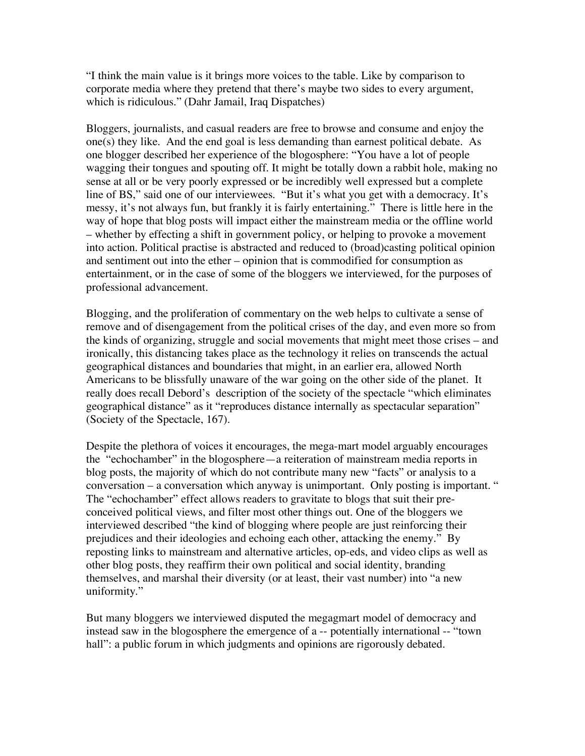"I think the main value is it brings more voices to the table. Like by comparison to corporate media where they pretend that there's maybe two sides to every argument, which is ridiculous." (Dahr Jamail, Iraq Dispatches)

Bloggers, journalists, and casual readers are free to browse and consume and enjoy the one(s) they like. And the end goal is less demanding than earnest political debate. As one blogger described her experience of the blogosphere: "You have a lot of people wagging their tongues and spouting off. It might be totally down a rabbit hole, making no sense at all or be very poorly expressed or be incredibly well expressed but a complete line of BS," said one of our interviewees. "But it's what you get with a democracy. It's messy, it's not always fun, but frankly it is fairly entertaining." There is little here in the way of hope that blog posts will impact either the mainstream media or the offline world – whether by effecting a shift in government policy, or helping to provoke a movement into action. Political practise is abstracted and reduced to (broad)casting political opinion and sentiment out into the ether – opinion that is commodified for consumption as entertainment, or in the case of some of the bloggers we interviewed, for the purposes of professional advancement.

Blogging, and the proliferation of commentary on the web helps to cultivate a sense of remove and of disengagement from the political crises of the day, and even more so from the kinds of organizing, struggle and social movements that might meet those crises – and ironically, this distancing takes place as the technology it relies on transcends the actual geographical distances and boundaries that might, in an earlier era, allowed North Americans to be blissfully unaware of the war going on the other side of the planet. It really does recall Debord's description of the society of the spectacle "which eliminates geographical distance" as it "reproduces distance internally as spectacular separation" (Society of the Spectacle, 167).

Despite the plethora of voices it encourages, the mega-mart model arguably encourages the "echochamber" in the blogosphere—a reiteration of mainstream media reports in blog posts, the majority of which do not contribute many new "facts" or analysis to a conversation – a conversation which anyway is unimportant. Only posting is important. " The "echochamber" effect allows readers to gravitate to blogs that suit their preconceived political views, and filter most other things out. One of the bloggers we interviewed described "the kind of blogging where people are just reinforcing their prejudices and their ideologies and echoing each other, attacking the enemy." By reposting links to mainstream and alternative articles, op-eds, and video clips as well as other blog posts, they reaffirm their own political and social identity, branding themselves, and marshal their diversity (or at least, their vast number) into "a new uniformity."

But many bloggers we interviewed disputed the megagmart model of democracy and instead saw in the blogosphere the emergence of a -- potentially international -- "town hall": a public forum in which judgments and opinions are rigorously debated.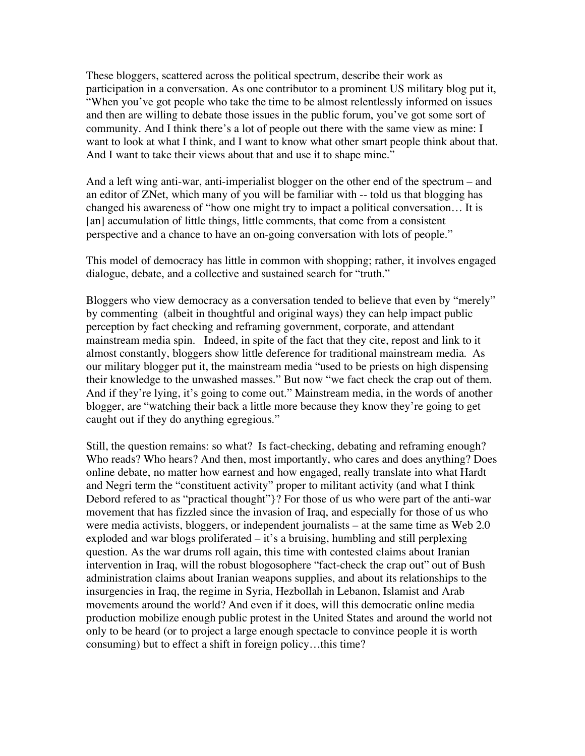These bloggers, scattered across the political spectrum, describe their work as participation in a conversation. As one contributor to a prominent US military blog put it, "When you've got people who take the time to be almost relentlessly informed on issues and then are willing to debate those issues in the public forum, you've got some sort of community. And I think there's a lot of people out there with the same view as mine: I want to look at what I think, and I want to know what other smart people think about that. And I want to take their views about that and use it to shape mine."

And a left wing anti-war, anti-imperialist blogger on the other end of the spectrum – and an editor of ZNet, which many of you will be familiar with -- told us that blogging has changed his awareness of "how one might try to impact a political conversation… It is [an] accumulation of little things, little comments, that come from a consistent perspective and a chance to have an on-going conversation with lots of people."

This model of democracy has little in common with shopping; rather, it involves engaged dialogue, debate, and a collective and sustained search for "truth."

Bloggers who view democracy as a conversation tended to believe that even by "merely" by commenting (albeit in thoughtful and original ways) they can help impact public perception by fact checking and reframing government, corporate, and attendant mainstream media spin. Indeed, in spite of the fact that they cite, repost and link to it almost constantly, bloggers show little deference for traditional mainstream media. As our military blogger put it, the mainstream media "used to be priests on high dispensing their knowledge to the unwashed masses." But now "we fact check the crap out of them. And if they're lying, it's going to come out." Mainstream media, in the words of another blogger, are "watching their back a little more because they know they're going to get caught out if they do anything egregious."

Still, the question remains: so what? Is fact-checking, debating and reframing enough? Who reads? Who hears? And then, most importantly, who cares and does anything? Does online debate, no matter how earnest and how engaged, really translate into what Hardt and Negri term the "constituent activity" proper to militant activity (and what I think Debord refered to as "practical thought"}? For those of us who were part of the anti-war movement that has fizzled since the invasion of Iraq, and especially for those of us who were media activists, bloggers, or independent journalists – at the same time as Web 2.0 exploded and war blogs proliferated – it's a bruising, humbling and still perplexing question. As the war drums roll again, this time with contested claims about Iranian intervention in Iraq, will the robust blogosophere "fact-check the crap out" out of Bush administration claims about Iranian weapons supplies, and about its relationships to the insurgencies in Iraq, the regime in Syria, Hezbollah in Lebanon, Islamist and Arab movements around the world? And even if it does, will this democratic online media production mobilize enough public protest in the United States and around the world not only to be heard (or to project a large enough spectacle to convince people it is worth consuming) but to effect a shift in foreign policy…this time?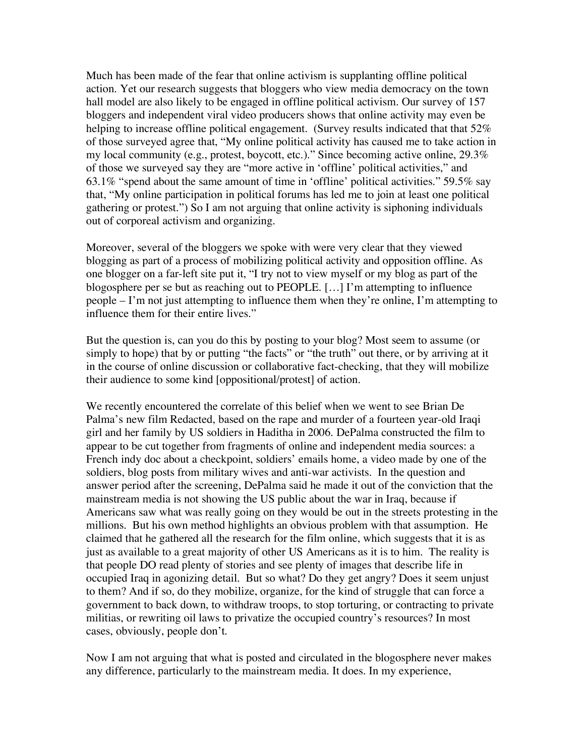Much has been made of the fear that online activism is supplanting offline political action. Yet our research suggests that bloggers who view media democracy on the town hall model are also likely to be engaged in offline political activism. Our survey of 157 bloggers and independent viral video producers shows that online activity may even be helping to increase offline political engagement. (Survey results indicated that that 52% of those surveyed agree that, "My online political activity has caused me to take action in my local community (e.g., protest, boycott, etc.)." Since becoming active online, 29.3% of those we surveyed say they are "more active in 'offline' political activities," and 63.1% "spend about the same amount of time in 'offline' political activities." 59.5% say that, "My online participation in political forums has led me to join at least one political gathering or protest.") So I am not arguing that online activity is siphoning individuals out of corporeal activism and organizing.

Moreover, several of the bloggers we spoke with were very clear that they viewed blogging as part of a process of mobilizing political activity and opposition offline. As one blogger on a far-left site put it, "I try not to view myself or my blog as part of the blogosphere per se but as reaching out to PEOPLE. […] I'm attempting to influence people – I'm not just attempting to influence them when they're online, I'm attempting to influence them for their entire lives."

But the question is, can you do this by posting to your blog? Most seem to assume (or simply to hope) that by or putting "the facts" or "the truth" out there, or by arriving at it in the course of online discussion or collaborative fact-checking, that they will mobilize their audience to some kind [oppositional/protest] of action.

We recently encountered the correlate of this belief when we went to see Brian De Palma's new film Redacted, based on the rape and murder of a fourteen year-old Iraqi girl and her family by US soldiers in Haditha in 2006. DePalma constructed the film to appear to be cut together from fragments of online and independent media sources: a French indy doc about a checkpoint, soldiers' emails home, a video made by one of the soldiers, blog posts from military wives and anti-war activists. In the question and answer period after the screening, DePalma said he made it out of the conviction that the mainstream media is not showing the US public about the war in Iraq, because if Americans saw what was really going on they would be out in the streets protesting in the millions. But his own method highlights an obvious problem with that assumption. He claimed that he gathered all the research for the film online, which suggests that it is as just as available to a great majority of other US Americans as it is to him. The reality is that people DO read plenty of stories and see plenty of images that describe life in occupied Iraq in agonizing detail. But so what? Do they get angry? Does it seem unjust to them? And if so, do they mobilize, organize, for the kind of struggle that can force a government to back down, to withdraw troops, to stop torturing, or contracting to private militias, or rewriting oil laws to privatize the occupied country's resources? In most cases, obviously, people don't.

Now I am not arguing that what is posted and circulated in the blogosphere never makes any difference, particularly to the mainstream media. It does. In my experience,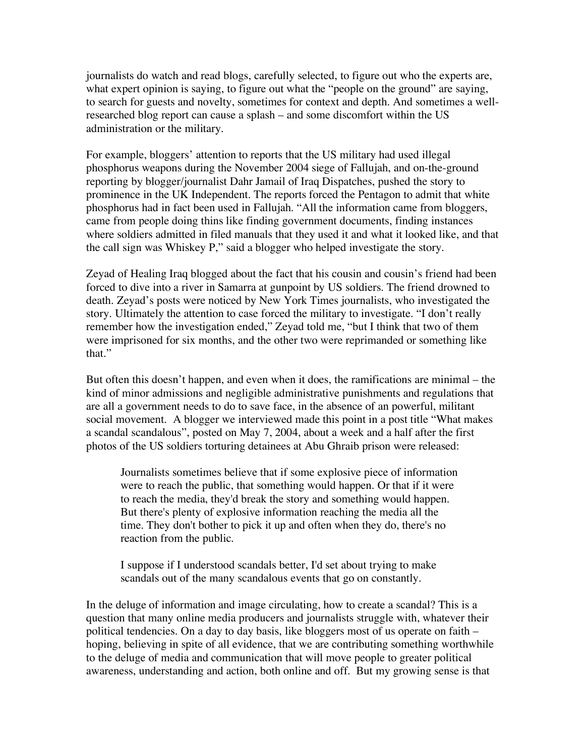journalists do watch and read blogs, carefully selected, to figure out who the experts are, what expert opinion is saying, to figure out what the "people on the ground" are saying, to search for guests and novelty, sometimes for context and depth. And sometimes a wellresearched blog report can cause a splash – and some discomfort within the US administration or the military.

For example, bloggers' attention to reports that the US military had used illegal phosphorus weapons during the November 2004 siege of Fallujah, and on-the-ground reporting by blogger/journalist Dahr Jamail of Iraq Dispatches, pushed the story to prominence in the UK Independent. The reports forced the Pentagon to admit that white phosphorus had in fact been used in Fallujah. "All the information came from bloggers, came from people doing thins like finding government documents, finding instances where soldiers admitted in filed manuals that they used it and what it looked like, and that the call sign was Whiskey P," said a blogger who helped investigate the story.

Zeyad of Healing Iraq blogged about the fact that his cousin and cousin's friend had been forced to dive into a river in Samarra at gunpoint by US soldiers. The friend drowned to death. Zeyad's posts were noticed by New York Times journalists, who investigated the story. Ultimately the attention to case forced the military to investigate. "I don't really remember how the investigation ended," Zeyad told me, "but I think that two of them were imprisoned for six months, and the other two were reprimanded or something like that."

But often this doesn't happen, and even when it does, the ramifications are minimal – the kind of minor admissions and negligible administrative punishments and regulations that are all a government needs to do to save face, in the absence of an powerful, militant social movement. A blogger we interviewed made this point in a post title "What makes a scandal scandalous", posted on May 7, 2004, about a week and a half after the first photos of the US soldiers torturing detainees at Abu Ghraib prison were released:

Journalists sometimes believe that if some explosive piece of information were to reach the public, that something would happen. Or that if it were to reach the media, they'd break the story and something would happen. But there's plenty of explosive information reaching the media all the time. They don't bother to pick it up and often when they do, there's no reaction from the public.

I suppose if I understood scandals better, I'd set about trying to make scandals out of the many scandalous events that go on constantly.

In the deluge of information and image circulating, how to create a scandal? This is a question that many online media producers and journalists struggle with, whatever their political tendencies. On a day to day basis, like bloggers most of us operate on faith – hoping, believing in spite of all evidence, that we are contributing something worthwhile to the deluge of media and communication that will move people to greater political awareness, understanding and action, both online and off. But my growing sense is that